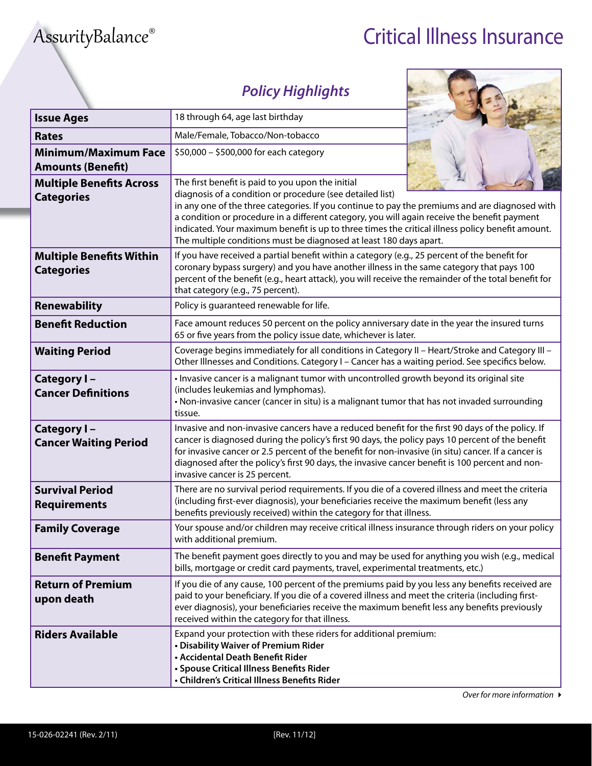## AssurityBalance® Critical Illness Insurance

## **Policy Highlights**

| <b>Issue Ages</b>                                       | 18 through 64, age last birthday                                                                                                                                                                                                                                                                                                                                                                                                                                                           |  |  |
|---------------------------------------------------------|--------------------------------------------------------------------------------------------------------------------------------------------------------------------------------------------------------------------------------------------------------------------------------------------------------------------------------------------------------------------------------------------------------------------------------------------------------------------------------------------|--|--|
| <b>Rates</b>                                            | Male/Female, Tobacco/Non-tobacco                                                                                                                                                                                                                                                                                                                                                                                                                                                           |  |  |
| <b>Minimum/Maximum Face</b><br><b>Amounts (Benefit)</b> | \$50,000 - \$500,000 for each category                                                                                                                                                                                                                                                                                                                                                                                                                                                     |  |  |
| <b>Multiple Benefits Across</b><br><b>Categories</b>    | The first benefit is paid to you upon the initial<br>diagnosis of a condition or procedure (see detailed list)<br>in any one of the three categories. If you continue to pay the premiums and are diagnosed with<br>a condition or procedure in a different category, you will again receive the benefit payment<br>indicated. Your maximum benefit is up to three times the critical illness policy benefit amount.<br>The multiple conditions must be diagnosed at least 180 days apart. |  |  |
| <b>Multiple Benefits Within</b><br><b>Categories</b>    | If you have received a partial benefit within a category (e.g., 25 percent of the benefit for<br>coronary bypass surgery) and you have another illness in the same category that pays 100<br>percent of the benefit (e.g., heart attack), you will receive the remainder of the total benefit for<br>that category (e.g., 75 percent).                                                                                                                                                     |  |  |
| <b>Renewability</b>                                     | Policy is guaranteed renewable for life.                                                                                                                                                                                                                                                                                                                                                                                                                                                   |  |  |
| <b>Benefit Reduction</b>                                | Face amount reduces 50 percent on the policy anniversary date in the year the insured turns<br>65 or five years from the policy issue date, whichever is later.                                                                                                                                                                                                                                                                                                                            |  |  |
| <b>Waiting Period</b>                                   | Coverage begins immediately for all conditions in Category II - Heart/Stroke and Category III -<br>Other Illnesses and Conditions. Category I - Cancer has a waiting period. See specifics below.                                                                                                                                                                                                                                                                                          |  |  |
| Category I-<br><b>Cancer Definitions</b>                | • Invasive cancer is a malignant tumor with uncontrolled growth beyond its original site<br>(includes leukemias and lymphomas).<br>• Non-invasive cancer (cancer in situ) is a malignant tumor that has not invaded surrounding<br>tissue.                                                                                                                                                                                                                                                 |  |  |
| Category I-<br><b>Cancer Waiting Period</b>             | Invasive and non-invasive cancers have a reduced benefit for the first 90 days of the policy. If<br>cancer is diagnosed during the policy's first 90 days, the policy pays 10 percent of the benefit<br>for invasive cancer or 2.5 percent of the benefit for non-invasive (in situ) cancer. If a cancer is<br>diagnosed after the policy's first 90 days, the invasive cancer benefit is 100 percent and non-<br>invasive cancer is 25 percent.                                           |  |  |
| <b>Survival Period</b><br><b>Requirements</b>           | There are no survival period requirements. If you die of a covered illness and meet the criteria<br>(including first-ever diagnosis), your beneficiaries receive the maximum benefit (less any<br>benefits previously received) within the category for that illness.                                                                                                                                                                                                                      |  |  |
| <b>Family Coverage</b>                                  | Your spouse and/or children may receive critical illness insurance through riders on your policy<br>with additional premium.                                                                                                                                                                                                                                                                                                                                                               |  |  |
| <b>Benefit Payment</b>                                  | The benefit payment goes directly to you and may be used for anything you wish (e.g., medical<br>bills, mortgage or credit card payments, travel, experimental treatments, etc.)                                                                                                                                                                                                                                                                                                           |  |  |
| <b>Return of Premium</b><br>upon death                  | If you die of any cause, 100 percent of the premiums paid by you less any benefits received are<br>paid to your beneficiary. If you die of a covered illness and meet the criteria (including first-<br>ever diagnosis), your beneficiaries receive the maximum benefit less any benefits previously<br>received within the category for that illness.                                                                                                                                     |  |  |
| <b>Riders Available</b>                                 | Expand your protection with these riders for additional premium:<br>• Disability Waiver of Premium Rider<br>• Accidental Death Benefit Rider                                                                                                                                                                                                                                                                                                                                               |  |  |

**• Spouse Critical Illness Benefits Rider • Children's Critical Illness Benefits Rider**